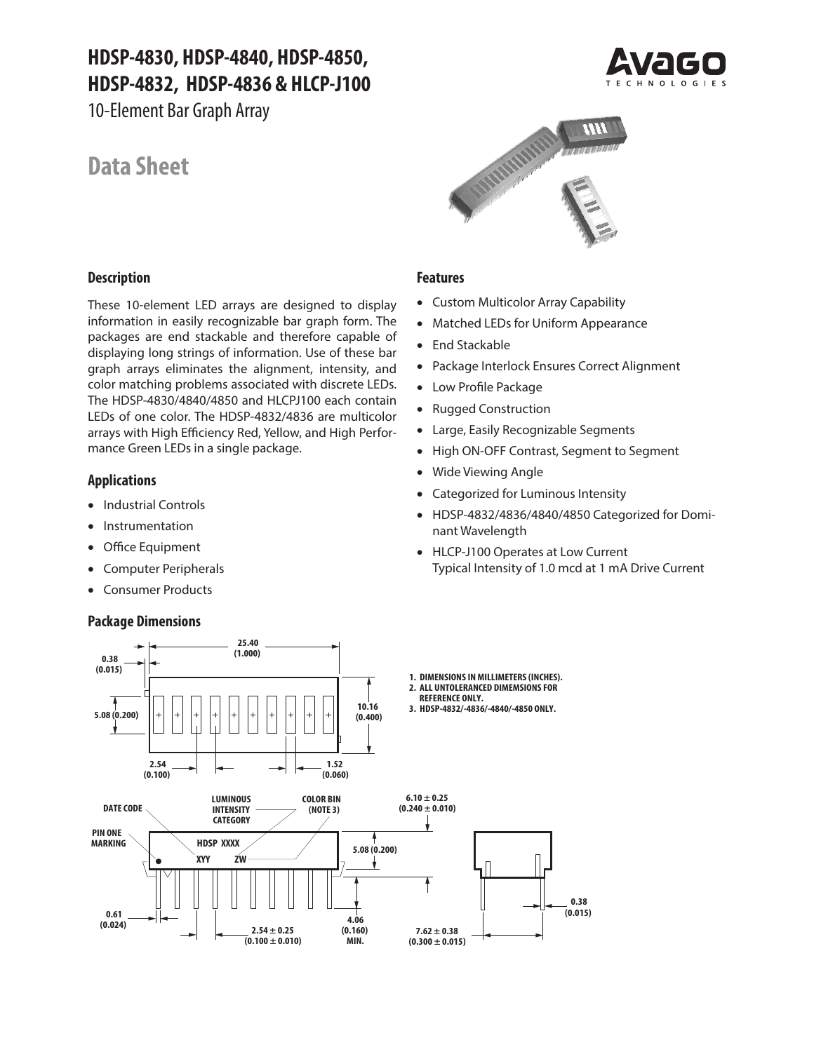# **HDSP-4830, HDSP-4840, HDSP-4850, HDSP-4832, HDSP-4836 & HLCP-J100**

10-Element Bar Graph Array

# **Data Sheet**





# **Description**

These 10-element LED arrays are designed to display information in easily recognizable bar graph form. The packages are end stackable and therefore capable of displaying long strings of information. Use of these bar graph arrays eliminates the alignment, intensity, and color matching problems associated with discrete LEDs. The HDSP-4830/4840/4850 and HLCPJ100 each contain LEDs of one color. The HDSP-4832/4836 are multicolor arrays with High Efficiency Red, Yellow, and High Performance Green LEDs in a single package.

# **Applications**

- Industrial Controls
- Instrumentation
- Office Equipment
- Computer Peripherals
- Consumer Products

# **Package Dimensions**

## **Features**

- Custom Multicolor Array Capability
- Matched LEDs for Uniform Appearance
- End Stackable
- Package Interlock Ensures Correct Alignment
- Low Profile Package
- Rugged Construction
- Large, Easily Recognizable Segments
- High ON-OFF Contrast, Segment to Segment
- Wide Viewing Angle
- Categorized for Luminous Intensity
- HDSP-4832/4836/4840/4850 Categorized for Dominant Wavelength
- HLCP-J100 Operates at Low Current Typical Intensity of 1.0 mcd at 1 mA Drive Current

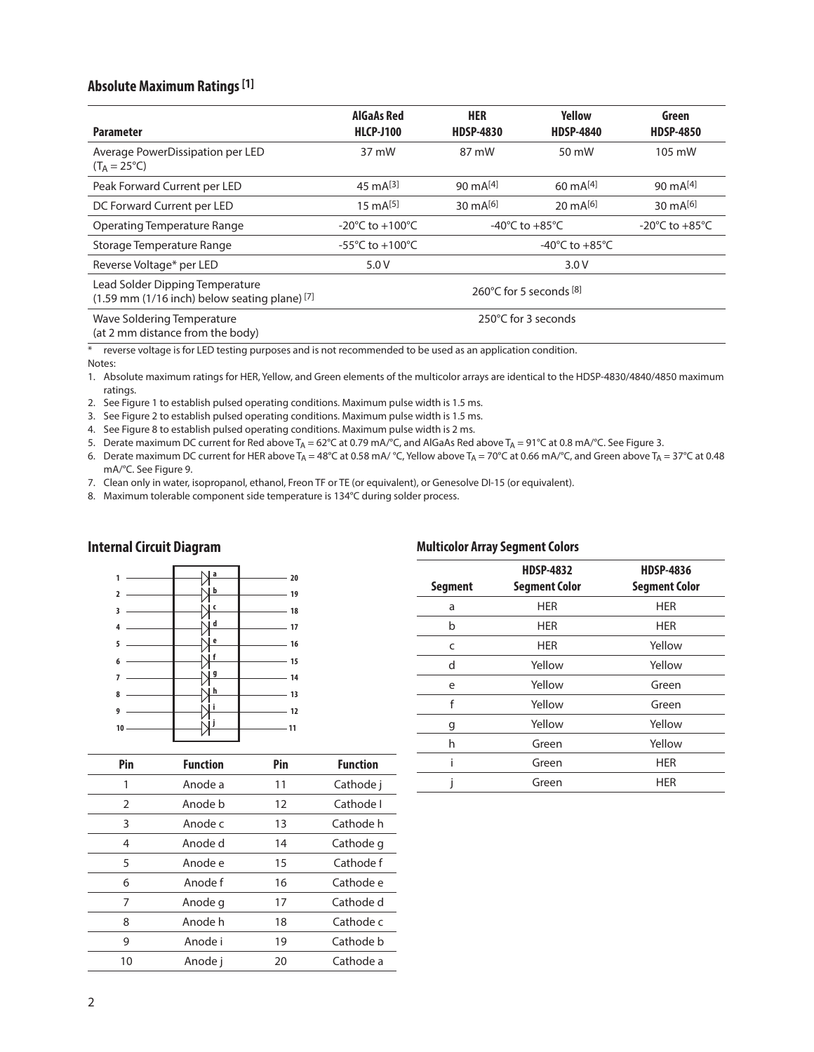# **Absolute Maximum Ratings [1]**

| <b>Parameter</b>                                                                     | <b>AlGaAs Red</b><br><b>HLCP-J100</b> | <b>HER</b><br><b>HDSP-4830</b>       | <b>Yellow</b><br><b>HDSP-4840</b>    | Green<br><b>HDSP-4850</b>          |
|--------------------------------------------------------------------------------------|---------------------------------------|--------------------------------------|--------------------------------------|------------------------------------|
| Average PowerDissipation per LED<br>$(T_A = 25^{\circ}C)$                            | 37 mW                                 | 87 mW                                | 50 mW                                | 105 mW                             |
| Peak Forward Current per LED                                                         | 45 mA $[3]$                           | 90 $mA[4]$                           | $60 \text{ mA}^{[4]}$                | 90 $mA[4]$                         |
| DC Forward Current per LED                                                           | $15 \text{ mA}^{[5]}$                 | 30 $mA^{[6]}$                        | $20 \text{ mA}^{[6]}$                | 30 $mA^{[6]}$                      |
| Operating Temperature Range                                                          | -20°C to +100°C                       | -40 $^{\circ}$ C to +85 $^{\circ}$ C |                                      | -20 $\degree$ C to +85 $\degree$ C |
| Storage Temperature Range                                                            | -55°C to +100°C                       |                                      | -40 $^{\circ}$ C to +85 $^{\circ}$ C |                                    |
| Reverse Voltage* per LED                                                             | 5.0V                                  |                                      | 3.0V                                 |                                    |
| Lead Solder Dipping Temperature<br>$(1.59$ mm $(1/16$ inch) below seating plane) [7] |                                       |                                      | 260°C for 5 seconds $[8]$            |                                    |
| Wave Soldering Temperature<br>(at 2 mm distance from the body)                       |                                       |                                      | 250°C for 3 seconds                  |                                    |

reverse voltage is for LED testing purposes and is not recommended to be used as an application condition. Notes:

1. Absolute maximum ratings for HER, Yellow, and Green elements of the multicolor arrays are identical to the HDSP-4830/4840/4850 maximum ratings.

2. See Figure 1 to establish pulsed operating conditions. Maximum pulse width is 1.5 ms.

3. See Figure 2 to establish pulsed operating conditions. Maximum pulse width is 1.5 ms.

4. See Figure 8 to establish pulsed operating conditions. Maximum pulse width is 2 ms.

5. Derate maximum DC current for Red above T<sub>A</sub> = 62°C at 0.79 mA/°C, and AlGaAs Red above T<sub>A</sub> = 91°C at 0.8 mA/°C. See Figure 3.

6. Derate maximum DC current for HER above T<sub>A</sub> = 48°C at 0.58 mA/ °C, Yellow above T<sub>A</sub> = 70°C at 0.66 mA/°C, and Green above T<sub>A</sub> = 37°C at 0.48 mA/°C. See Figure 9.

7. Clean only in water, isopropanol, ethanol, Freon TF or TE (or equivalent), or Genesolve DI-15 (or equivalent).

8. Maximum tolerable component side temperature is 134°C during solder process.

# **Internal Circuit Diagram**

|                |  | l a       | 20                                                                                                                                                                                                                                         |  |
|----------------|--|-----------|--------------------------------------------------------------------------------------------------------------------------------------------------------------------------------------------------------------------------------------------|--|
| $\overline{2}$ |  | <u>ib</u> | 19<br><u> a shekara ta 1999 a shekara ta 1999 a shekara ta 1999 a shekara ta 1999 a shekara ta 1999 a shekara ta 1999 a shekara ta 1999 a shekara ta 1999 a shekara ta 1999 a shekara ta 1999 a shekara ta 1999 a shekara ta 1999 a sh</u> |  |
| 3              |  | J c       | 18                                                                                                                                                                                                                                         |  |
|                |  | J d       |                                                                                                                                                                                                                                            |  |
| 4              |  |           | 17                                                                                                                                                                                                                                         |  |
| 5              |  | Ιe        | 16                                                                                                                                                                                                                                         |  |
| 6              |  | ١f        | 15                                                                                                                                                                                                                                         |  |
| 7              |  | J 9       | 14<br>the control of the control of                                                                                                                                                                                                        |  |
|                |  | .l h      |                                                                                                                                                                                                                                            |  |
| 8              |  |           | 13                                                                                                                                                                                                                                         |  |
| 9              |  | j         | 12                                                                                                                                                                                                                                         |  |
| 10             |  |           | 11                                                                                                                                                                                                                                         |  |
|                |  |           |                                                                                                                                                                                                                                            |  |

| Pin           | <b>Function</b> | Pin | <b>Function</b> |
|---------------|-----------------|-----|-----------------|
| 1             | Anode a         | 11  | Cathode j       |
| $\mathcal{P}$ | Anode b         | 12  | Cathode I       |
| 3             | Anode c         | 13  | Cathode h       |
| 4             | Anode d         | 14  | Cathode g       |
| 5             | Anode e         | 15  | Cathode f       |
| 6             | Anode f         | 16  | Cathode e       |
| 7             | Anode g         | 17  | Cathode d       |
| 8             | Anode h         | 18  | Cathode c       |
| 9             | Anode i         | 19  | Cathode b       |
| 10            | Anode i         | 20  | Cathode a       |

## **Multicolor Array Segment Colors**

| <b>Segment</b> | <b>HDSP-4832</b><br><b>Segment Color</b> | <b>HDSP-4836</b><br><b>Segment Color</b> |
|----------------|------------------------------------------|------------------------------------------|
| a              | <b>HER</b>                               | <b>HER</b>                               |
| b              | <b>HER</b>                               | <b>HER</b>                               |
| C              | <b>HER</b>                               | Yellow                                   |
| d              | Yellow                                   | Yellow                                   |
| e              | Yellow                                   | Green                                    |
| f              | Yellow                                   | Green                                    |
| g              | Yellow                                   | Yellow                                   |
| h              | Green                                    | Yellow                                   |
| i              | Green                                    | <b>HER</b>                               |
|                | Green                                    | <b>HER</b>                               |
|                |                                          |                                          |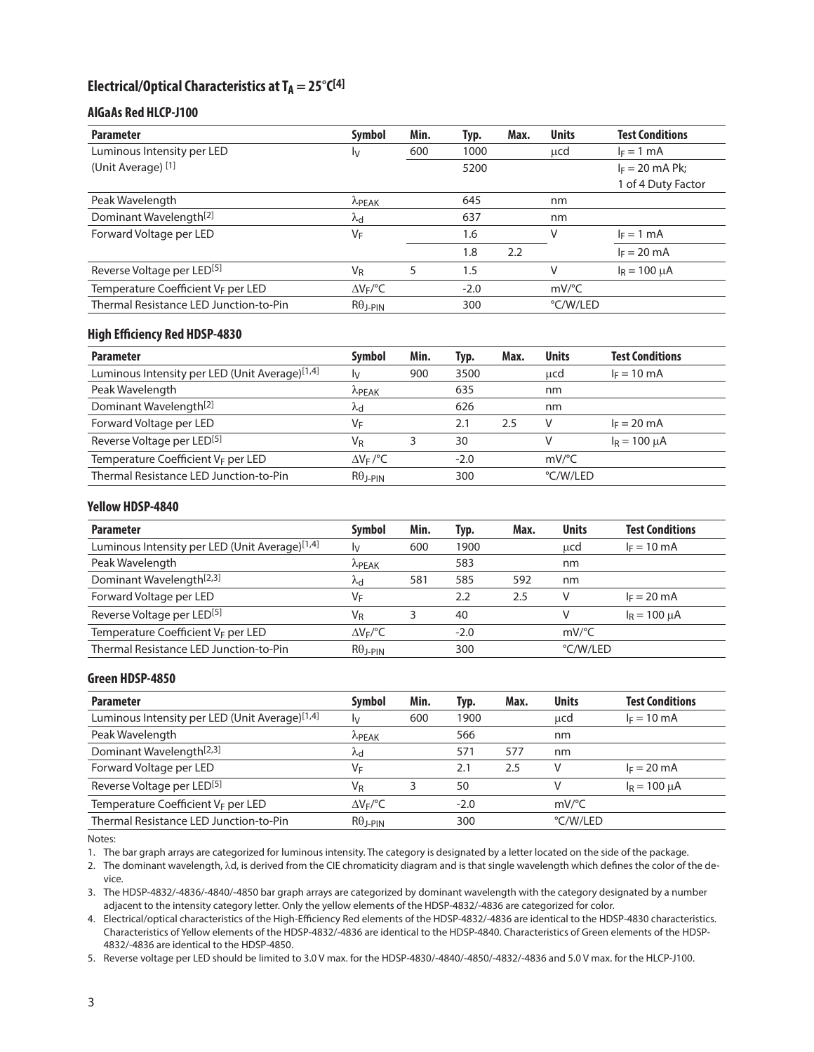# Electrical/Optical Characteristics at T<sub>A</sub> = 25°C<sup>[4]</sup>

## **AlGaAs Red HLCP-J100**

| <b>Parameter</b>                       | Symbol               | Min. | Typ.   | Max. | <b>Units</b>        | <b>Test Conditions</b> |
|----------------------------------------|----------------------|------|--------|------|---------------------|------------------------|
| Luminous Intensity per LED             | Ιv                   | 600  | 1000   |      | ucd                 | $I_F = 1$ mA           |
| (Unit Average) [1]                     |                      |      | 5200   |      |                     | $I_F = 20$ mA Pk;      |
|                                        |                      |      |        |      |                     | 1 of 4 Duty Factor     |
| Peak Wavelength                        | $\lambda$ PEAK       |      | 645    |      | nm                  |                        |
| Dominant Wavelength <sup>[2]</sup>     | λd                   |      | 637    |      | nm                  |                        |
| Forward Voltage per LED                | VF                   |      | 1.6    |      | V                   | $I_F = 1$ mA           |
|                                        |                      |      | 1.8    | 2.2  |                     | $I_F = 20$ mA          |
| Reverse Voltage per LED <sup>[5]</sup> | <b>V<sub>R</sub></b> | 5    | 1.5    |      | V                   | $I_R = 100 \mu A$      |
| Temperature Coefficient VF per LED     | $\Delta V_F$ /°C     |      | $-2.0$ |      | $mV$ <sup>o</sup> C |                        |
| Thermal Resistance LED Junction-to-Pin | $R\theta$ J-PIN      |      | 300    |      | °C/W/LED            |                        |

### **High Efficiency Red HDSP-4830**

| <b>Parameter</b>                               | Symbol           | Min. | Typ.   | Max. | <b>Units</b>        | <b>Test Conditions</b> |
|------------------------------------------------|------------------|------|--------|------|---------------------|------------------------|
| Luminous Intensity per LED (Unit Average)[1,4] | I٧               | 900  | 3500   |      | ucd                 | $I_F = 10$ mA          |
| Peak Wavelength                                | $\lambda$ PEAK   |      | 635    |      | nm                  |                        |
| Dominant Wavelength <sup>[2]</sup>             | ٨d               |      | 626    |      | nm                  |                        |
| Forward Voltage per LED                        | V⊧               |      | 2.1    | 2.5  | v                   | $I_F = 20$ mA          |
| Reverse Voltage per LED <sup>[5]</sup>         | Vr               |      | 30     |      | V                   | $I_R = 100 \mu A$      |
| Temperature Coefficient V <sub>F</sub> per LED | $\Delta V_F$ /°C |      | $-2.0$ |      | $mV$ <sup>o</sup> C |                        |
| Thermal Resistance LED Junction-to-Pin         | $R\theta$ J-PIN  |      | 300    |      | °C/W/LED            |                        |

#### **Yellow HDSP-4840**

| <b>Parameter</b>                               | Symbol           | Min. | Typ.   | Max. | <b>Units</b>        | <b>Test Conditions</b> |
|------------------------------------------------|------------------|------|--------|------|---------------------|------------------------|
| Luminous Intensity per LED (Unit Average)[1,4] | Iv.              | 600  | 1900   |      | ucd                 | $I_F = 10 \text{ mA}$  |
| Peak Wavelength                                | <b>LPEAK</b>     |      | 583    |      | nm                  |                        |
| Dominant Wavelength <sup>[2,3]</sup>           | ٨d               | 581  | 585    | 592  | nm                  |                        |
| Forward Voltage per LED                        | V⊧               |      | 2.2    | 2.5  | v                   | $I_F = 20$ mA          |
| Reverse Voltage per LED <sup>[5]</sup>         | VR               |      | 40     |      | V                   | $I_R = 100 \mu A$      |
| Temperature Coefficient VF per LED             | $\Delta V_F$ /°C |      | $-2.0$ |      | $mV$ <sup>o</sup> C |                        |
| Thermal Resistance LED Junction-to-Pin         | $R\theta$ J-PIN  |      | 300    |      | °C/W/LED            |                        |

### **Green HDSP-4850**

| <b>Parameter</b>                               | <b>Symbol</b>    | Min. | Typ.   | Max. | <b>Units</b>        | <b>Test Conditions</b> |
|------------------------------------------------|------------------|------|--------|------|---------------------|------------------------|
| Luminous Intensity per LED (Unit Average)[1,4] | I۷               | 600  | 1900   |      | ucd                 | $I_F = 10$ mA          |
| Peak Wavelength                                | <b>LPEAK</b>     |      | 566    |      | nm                  |                        |
| Dominant Wavelength <sup>[2,3]</sup>           | $\lambda$ d      |      | 571    | 577  | nm                  |                        |
| Forward Voltage per LED                        | V⊧               |      | 2.1    | 2.5  |                     | $I_F = 20$ mA          |
| Reverse Voltage per LED <sup>[5]</sup>         | VR               |      | 50     |      |                     | $I_R = 100 \mu A$      |
| Temperature Coefficient VF per LED             | $\Delta V_F$ /°C |      | $-2.0$ |      | $mV$ <sup>o</sup> C |                        |
| Thermal Resistance LED Junction-to-Pin         | $R\theta$ J-PIN  |      | 300    |      | °C/W/LED            |                        |

Notes:

1. The bar graph arrays are categorized for luminous intensity. The category is designated by a letter located on the side of the package.

2. The dominant wavelength, λd, is derived from the CIE chromaticity diagram and is that single wavelength which defines the color of the device.

3. The HDSP-4832/-4836/-4840/-4850 bar graph arrays are categorized by dominant wavelength with the category designated by a number adjacent to the intensity category letter. Only the yellow elements of the HDSP-4832/-4836 are categorized for color.

4. Electrical/optical characteristics of the High-Efficiency Red elements of the HDSP-4832/-4836 are identical to the HDSP-4830 characteristics. Characteristics of Yellow elements of the HDSP-4832/-4836 are identical to the HDSP-4840. Characteristics of Green elements of the HDSP-4832/-4836 are identical to the HDSP-4850.

5. Reverse voltage per LED should be limited to 3.0 V max. for the HDSP-4830/-4840/-4850/-4832/-4836 and 5.0 V max. for the HLCP-J100.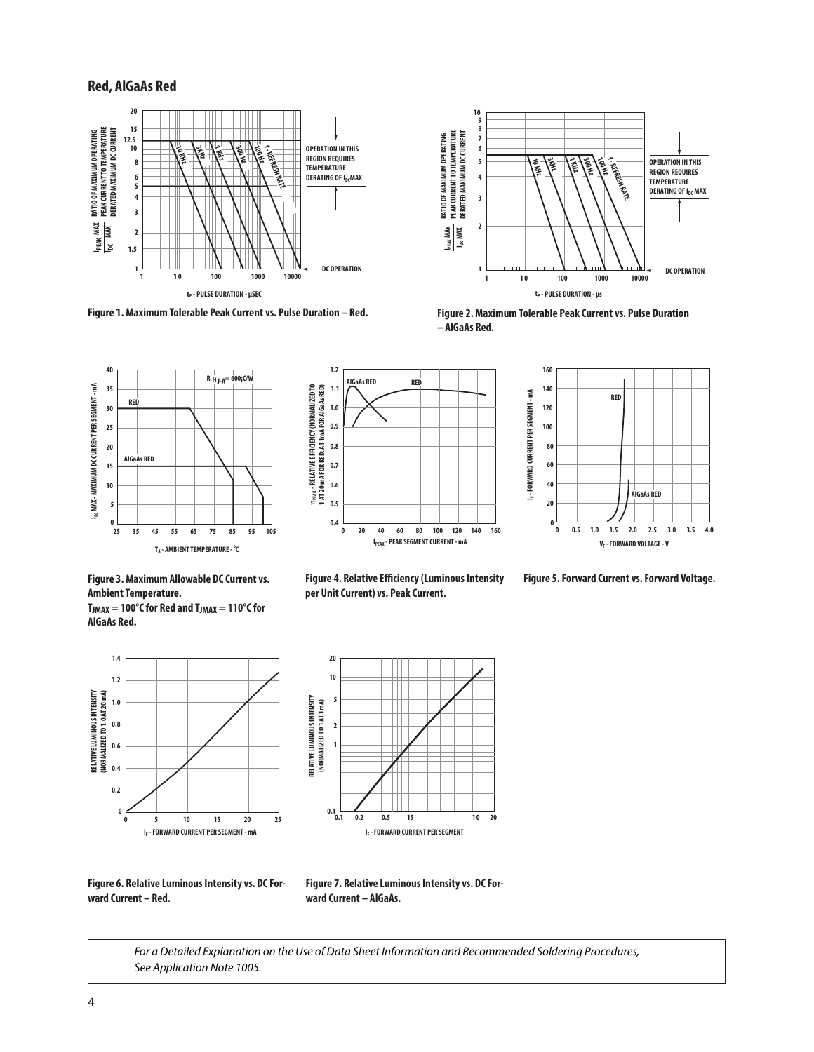## **Red, AlGaAs Red**



**Figure 1. Maximum Tolerable Peak Current vs. Pulse Duration – Red.**













**AlGaAs Red.**





**per Unit Current) vs. Peak Current.**

**Figure 4. Relative Efficiency (Luminous Intensity Figure 5. Forward Current vs. Forward Voltage.**



**Figure 6. Relative Luminous Intensity vs. DC Forward Current – Red.**

**Figure 7. Relative Luminous Intensity vs. DC Forward Current – AlGaAs.**

*For a Detailed Explanation on the Use of Data Sheet Information and Recommended Soldering Procedures, See Application Note 1005.*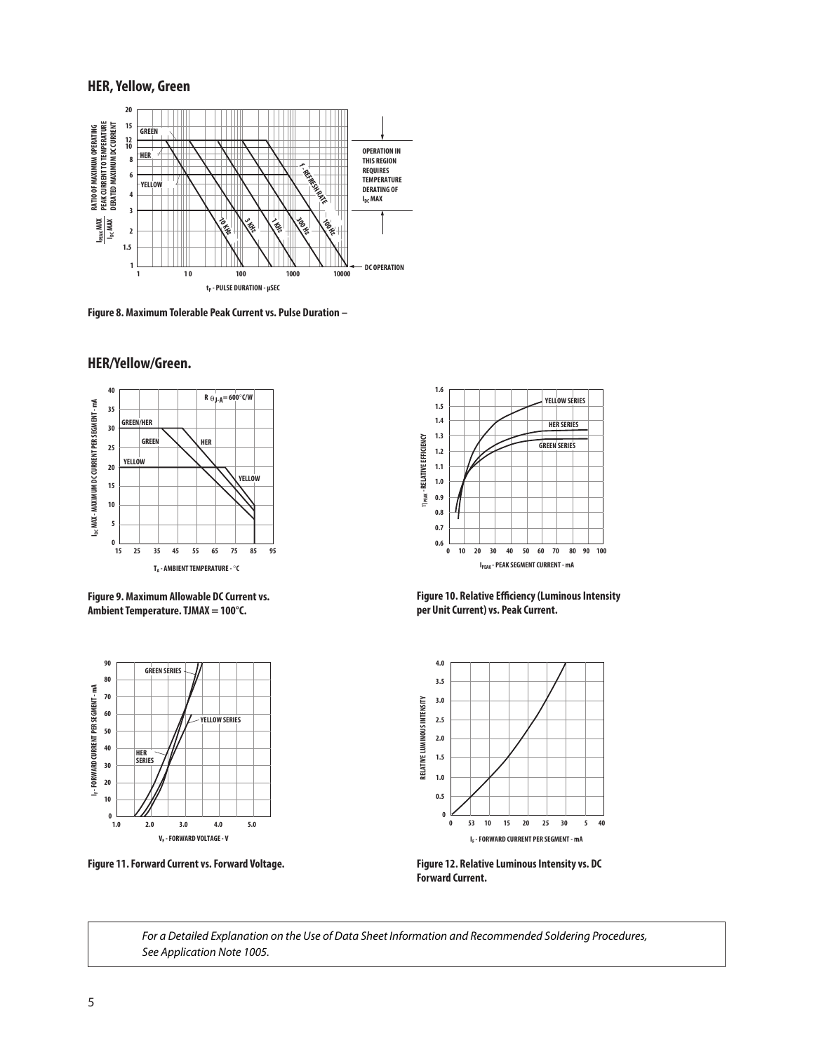### **HER, Yellow, Green**



**Figure 8. Maximum Tolerable Peak Current vs. Pulse Duration –**

## **HER/Yellow/Green.**



**Figure 9. Maximum Allowable DC Current vs. Ambient Temperature. TJMAX = 100°C.**



**Figure 11. Forward Current vs. Forward Voltage.**



**Figure 10. Relative Efficiency (Luminous Intensity per Unit Current) vs. Peak Current.**



**Figure 12. Relative Luminous Intensity vs. DC Forward Current.**

*For a Detailed Explanation on the Use of Data Sheet Information and Recommended Soldering Procedures, See Application Note 1005.*